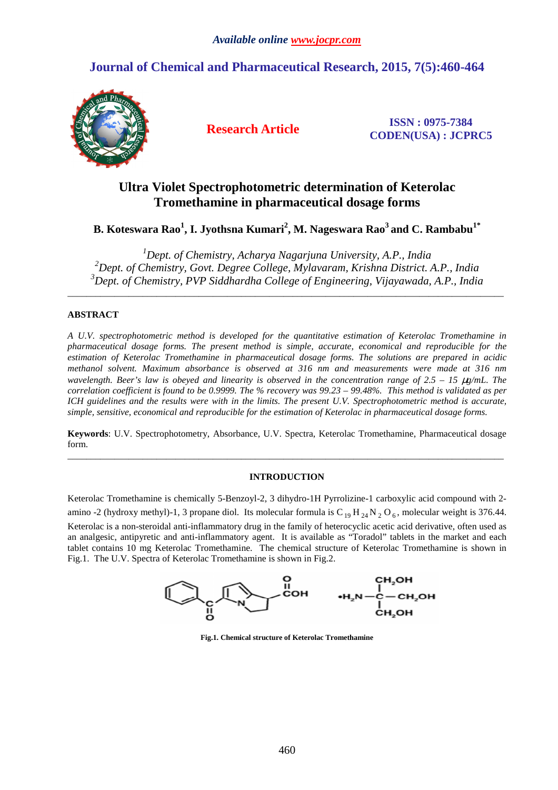# **Journal of Chemical and Pharmaceutical Research, 2015, 7(5):460-464**



**Research Article ISSN : 0975-7384 CODEN(USA) : JCPRC5**

# **Ultra Violet Spectrophotometric determination of Keterolac Tromethamine in pharmaceutical dosage forms**

**B. Koteswara Rao<sup>1</sup> , I. Jyothsna Kumari<sup>2</sup> , M. Nageswara Rao<sup>3</sup>and C. Rambabu1\*** 

*<sup>1</sup>Dept. of Chemistry, Acharya Nagarjuna University, A.P., India <sup>2</sup>Dept. of Chemistry, Govt. Degree College, Mylavaram, Krishna District. A.P., India <sup>3</sup>Dept. of Chemistry, PVP Siddhardha College of Engineering, Vijayawada, A.P., India* 

\_\_\_\_\_\_\_\_\_\_\_\_\_\_\_\_\_\_\_\_\_\_\_\_\_\_\_\_\_\_\_\_\_\_\_\_\_\_\_\_\_\_\_\_\_\_\_\_\_\_\_\_\_\_\_\_\_\_\_\_\_\_\_\_\_\_\_\_\_\_\_\_\_\_\_\_\_\_\_\_\_\_\_\_\_\_\_\_\_\_\_\_\_

## **ABSTRACT**

*A U.V. spectrophotometric method is developed for the quantitative estimation of Keterolac Tromethamine in pharmaceutical dosage forms. The present method is simple, accurate, economical and reproducible for the estimation of Keterolac Tromethamine in pharmaceutical dosage forms. The solutions are prepared in acidic methanol solvent. Maximum absorbance is observed at 316 nm and measurements were made at 316 nm wavelength. Beer's law is obeyed and linearity is observed in the concentration range of*  $2.5 - 15 \mu g/mL$ *. The correlation coefficient is found to be 0.9999. The % recovery was 99.23 – 99.48%. This method is validated as per ICH guidelines and the results were with in the limits. The present U.V. Spectrophotometric method is accurate, simple, sensitive, economical and reproducible for the estimation of Keterolac in pharmaceutical dosage forms.* 

**Keywords**: U.V. Spectrophotometry, Absorbance, U.V. Spectra, Keterolac Tromethamine, Pharmaceutical dosage form. \_\_\_\_\_\_\_\_\_\_\_\_\_\_\_\_\_\_\_\_\_\_\_\_\_\_\_\_\_\_\_\_\_\_\_\_\_\_\_\_\_\_\_\_\_\_\_\_\_\_\_\_\_\_\_\_\_\_\_\_\_\_\_\_\_\_\_\_\_\_\_\_\_\_\_\_\_\_\_\_\_\_\_\_\_\_\_\_\_\_\_\_\_

## **INTRODUCTION**

Keterolac Tromethamine is chemically 5-Benzoyl-2, 3 dihydro-1H Pyrrolizine-1 carboxylic acid compound with 2 amino -2 (hydroxy methyl)-1, 3 propane diol. Its molecular formula is  $C_{19}H_{24}N_2O_6$ , molecular weight is 376.44. Keterolac is a non-steroidal anti-inflammatory drug in the family of heterocyclic acetic acid derivative, often used as an analgesic, antipyretic and anti-inflammatory agent. It is available as "Toradol" tablets in the market and each tablet contains 10 mg Keterolac Tromethamine. The chemical structure of Keterolac Tromethamine is shown in Fig.1. The U.V. Spectra of Keterolac Tromethamine is shown in Fig.2.



**Fig.1. Chemical structure of Keterolac Tromethamine**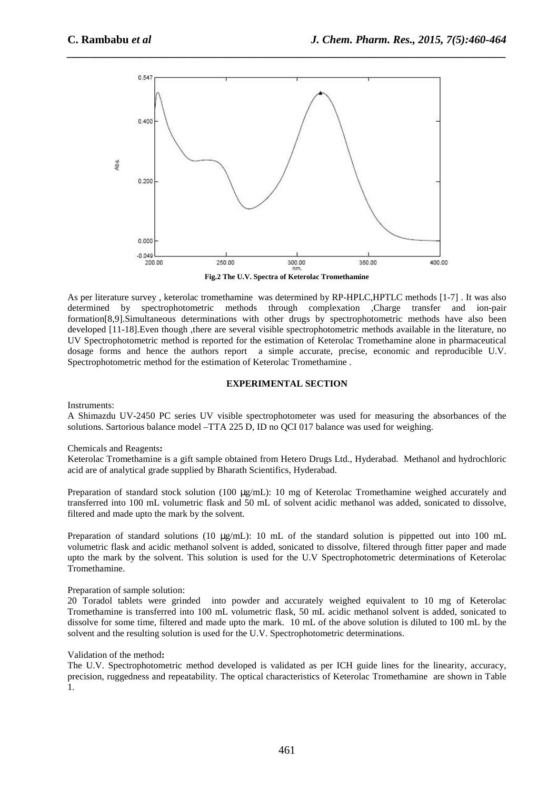

*\_\_\_\_\_\_\_\_\_\_\_\_\_\_\_\_\_\_\_\_\_\_\_\_\_\_\_\_\_\_\_\_\_\_\_\_\_\_\_\_\_\_\_\_\_\_\_\_\_\_\_\_\_\_\_\_\_\_\_\_\_\_\_\_\_\_\_\_\_\_\_\_\_\_\_\_\_\_*

As per literature survey , keterolac tromethamine was determined by RP-HPLC,HPTLC methods [1-7] . It was also determined by spectrophotometric methods through complexation ,Charge transfer and ion-pair formation[8,9].Simultaneous determinations with other drugs by spectrophotometric methods have also been developed [11-18].Even though ,there are several visible spectrophotometric methods available in the literature, no UV Spectrophotometric method is reported for the estimation of Keterolac Tromethamine alone in pharmaceutical dosage forms and hence the authors report a simple accurate, precise, economic and reproducible U.V. Spectrophotometric method for the estimation of Keterolac Tromethamine .

## **EXPERIMENTAL SECTION**

Instruments:

A Shimazdu UV-2450 PC series UV visible spectrophotometer was used for measuring the absorbances of the solutions. Sartorious balance model –TTA 225 D, ID no QCI 017 balance was used for weighing.

## Chemicals and Reagents**:**

Keterolac Tromethamine is a gift sample obtained from Hetero Drugs Ltd., Hyderabad. Methanol and hydrochloric acid are of analytical grade supplied by Bharath Scientifics, Hyderabad.

Preparation of standard stock solution (100  $\mu$ g/mL): 10 mg of Keterolac Tromethamine weighed accurately and transferred into 100 mL volumetric flask and 50 mL of solvent acidic methanol was added, sonicated to dissolve, filtered and made upto the mark by the solvent.

Preparation of standard solutions (10 µg/mL): 10 mL of the standard solution is pippetted out into 100 mL volumetric flask and acidic methanol solvent is added, sonicated to dissolve, filtered through fitter paper and made upto the mark by the solvent. This solution is used for the U.V Spectrophotometric determinations of Keterolac Tromethamine.

## Preparation of sample solution:

20 Toradol tablets were grinded into powder and accurately weighed equivalent to 10 mg of Keterolac Tromethamine is transferred into 100 mL volumetric flask, 50 mL acidic methanol solvent is added, sonicated to dissolve for some time, filtered and made upto the mark. 10 mL of the above solution is diluted to 100 mL by the solvent and the resulting solution is used for the U.V. Spectrophotometric determinations.

## Validation of the method**:**

The U.V. Spectrophotometric method developed is validated as per ICH guide lines for the linearity, accuracy, precision, ruggedness and repeatability. The optical characteristics of Keterolac Tromethamine are shown in Table 1.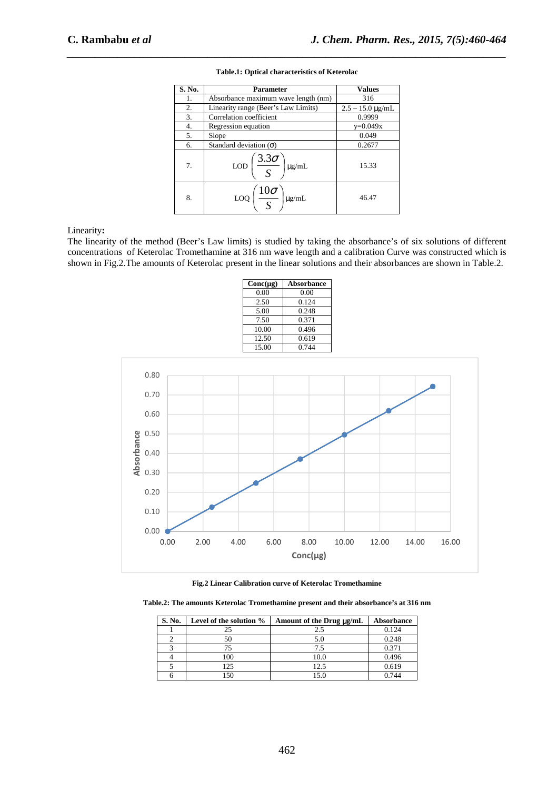| S. No. | <b>Parameter</b>                                  | <b>Values</b>           |
|--------|---------------------------------------------------|-------------------------|
| 1.     | Absorbance maximum wave length (nm)               | 316                     |
| 2.     | Linearity range (Beer's Law Limits)               | $2.5 - 15.0 \,\mu g/mL$ |
| 3.     | Correlation coefficient                           | 0.9999                  |
| 4.     | Regression equation                               | $y=0.049x$              |
| 5.     | Slope                                             | 0.049                   |
| 6.     | Standard deviation $(\sigma)$                     | 0.2677                  |
| 7.     | $\frac{3.3\sigma}{4}$<br><b>LOD</b><br>$\mu$ g/mL | 15.33                   |
| 8.     | $\frac{10\sigma}{\sigma}$<br>$\mu$ g/mL<br>LOQ    | 46.47                   |

# *\_\_\_\_\_\_\_\_\_\_\_\_\_\_\_\_\_\_\_\_\_\_\_\_\_\_\_\_\_\_\_\_\_\_\_\_\_\_\_\_\_\_\_\_\_\_\_\_\_\_\_\_\_\_\_\_\_\_\_\_\_\_\_\_\_\_\_\_\_\_\_\_\_\_\_\_\_\_* **Table.1: Optical characteristics of Keterolac**

Linearity**:** 

The linearity of the method (Beer's Law limits) is studied by taking the absorbance's of six solutions of different concentrations of Keterolac Tromethamine at 316 nm wave length and a calibration Curve was constructed which is shown in Fig.2.The amounts of Keterolac present in the linear solutions and their absorbances are shown in Table.2.

| $Conc(\mu g)$ | <b>Absorbance</b> |
|---------------|-------------------|
| 0.00          | 0.00              |
| 2.50          | 0.124             |
| 5.00          | 0.248             |
| 7.50          | 0.371             |
| 10.00         | 0.496             |
| 12.50         | 0.619             |
| 15.00         | 0.744             |
|               |                   |





**Table.2: The amounts Keterolac Tromethamine present and their absorbance's at 316 nm** 

| S. No. | Level of the solution % | Amount of the Drug µg/mL | Absorbance |
|--------|-------------------------|--------------------------|------------|
|        |                         | 2.5                      | 0.124      |
|        | 50                      | 5.0                      | 0.248      |
|        |                         | 7.5                      | 0.371      |
|        | 10C                     | 10.0                     | 0.496      |
|        | 125                     | 12.5                     | 0.619      |
|        |                         | 5.0                      | 0.744      |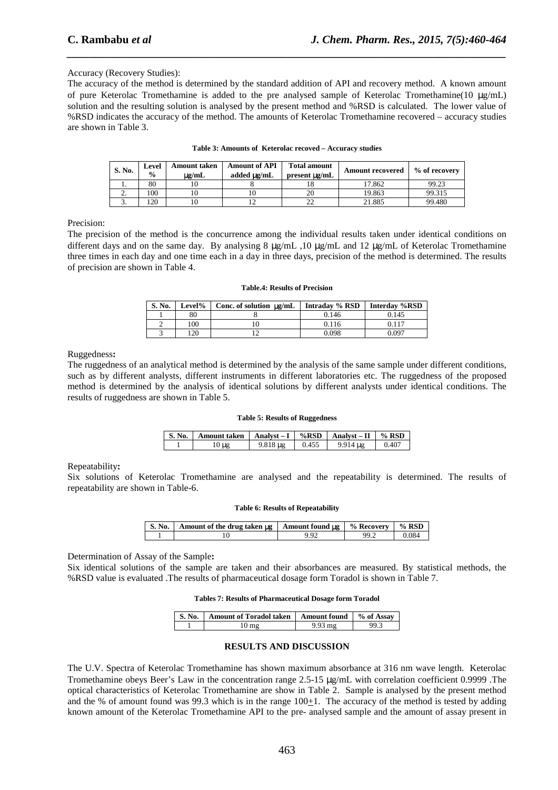## Accuracy (Recovery Studies):

The accuracy of the method is determined by the standard addition of API and recovery method. A known amount of pure Keterolac Tromethamine is added to the pre analysed sample of Keterolac Tromethamine(10  $\mu$ g/mL) solution and the resulting solution is analysed by the present method and %RSD is calculated. The lower value of %RSD indicates the accuracy of the method. The amounts of Keterolac Tromethamine recovered – accuracy studies are shown in Table 3.

*\_\_\_\_\_\_\_\_\_\_\_\_\_\_\_\_\_\_\_\_\_\_\_\_\_\_\_\_\_\_\_\_\_\_\_\_\_\_\_\_\_\_\_\_\_\_\_\_\_\_\_\_\_\_\_\_\_\_\_\_\_\_\_\_\_\_\_\_\_\_\_\_\_\_\_\_\_\_*

| <b>S. No.</b> | Level<br>$\frac{0}{0}$ | <b>Amount taken</b><br>$\mu$ g/mL | <b>Amount of API</b><br>added ug/mL | <b>Total amount</b><br>present $\mu$ g/mL | <b>Amount recovered</b> | % of recovery |
|---------------|------------------------|-----------------------------------|-------------------------------------|-------------------------------------------|-------------------------|---------------|
| . .           | 80                     |                                   |                                     |                                           | 17.862                  | 99.23         |
| <u>.</u>      | 100                    |                                   |                                     | 20                                        | 19.863                  | 99.315        |
| υ.            | 120                    |                                   |                                     |                                           | 21.885                  | 99.480        |

#### **Table 3: Amounts of Keterolac recoved – Accuracy studies**

Precision:

The precision of the method is the concurrence among the individual results taken under identical conditions on different days and on the same day. By analysing 8 µg/mL ,10 µg/mL and 12 µg/mL of Keterolac Tromethamine three times in each day and one time each in a day in three days, precision of the method is determined. The results of precision are shown in Table 4.

#### **Table.4: Results of Precision**

| S. No. | Level%          | Conc. of solution $\mu$ g/mL | Intraday % RSD | Interday %RSD |
|--------|-----------------|------------------------------|----------------|---------------|
|        | 80              |                              | 0.146          | 0.145         |
|        | 100             |                              | 0.116          | 0.117         |
|        | $\overline{20}$ |                              | 0.098          | 0.097         |

## Ruggedness**:**

The ruggedness of an analytical method is determined by the analysis of the same sample under different conditions, such as by different analysts, different instruments in different laboratories etc. The ruggedness of the proposed method is determined by the analysis of identical solutions by different analysts under identical conditions. The results of ruggedness are shown in Table 5.

#### **Table 5: Results of Ruggedness**

| <b>S. No.</b> | Amount taken $\vert$ Analyst – I $\vert$ %RSD |                    |       | $\vert$ Analyst – II $\vert \%$ RSD |       |
|---------------|-----------------------------------------------|--------------------|-------|-------------------------------------|-------|
|               |                                               | $9.818 \text{ µg}$ | 0.455 | ug                                  | 0.407 |

### Repeatability**:**

Six solutions of Keterolac Tromethamine are analysed and the repeatability is determined. The results of repeatability are shown in Table-6.

#### **Table 6: Results of Repeatability**

| $\mathbf{S}$ . No. | Amount of the drug taken $\mu$ g   Amount found $\mu$ g   ' | % Recoverv | $%$ RSD |
|--------------------|-------------------------------------------------------------|------------|---------|
|                    |                                                             |            |         |

Determination of Assay of the Sample**:** 

Six identical solutions of the sample are taken and their absorbances are measured. By statistical methods, the %RSD value is evaluated .The results of pharmaceutical dosage form Toradol is shown in Table 7.

## **Tables 7: Results of Pharmaceutical Dosage form Toradol**

| S. No.   Amount of Toradol taken   Amount found   % of Assay |      |
|--------------------------------------------------------------|------|
| .0 mg                                                        | ⊋Q ¤ |

## **RESULTS AND DISCUSSION**

The U.V. Spectra of Keterolac Tromethamine has shown maximum absorbance at 316 nm wave length. Keterolac Tromethamine obeys Beer's Law in the concentration range 2.5-15 µg/mL with correlation coefficient 0.9999 .The optical characteristics of Keterolac Tromethamine are show in Table 2. Sample is analysed by the present method and the % of amount found was 99.3 which is in the range  $100+1$ . The accuracy of the method is tested by adding known amount of the Keterolac Tromethamine API to the pre- analysed sample and the amount of assay present in